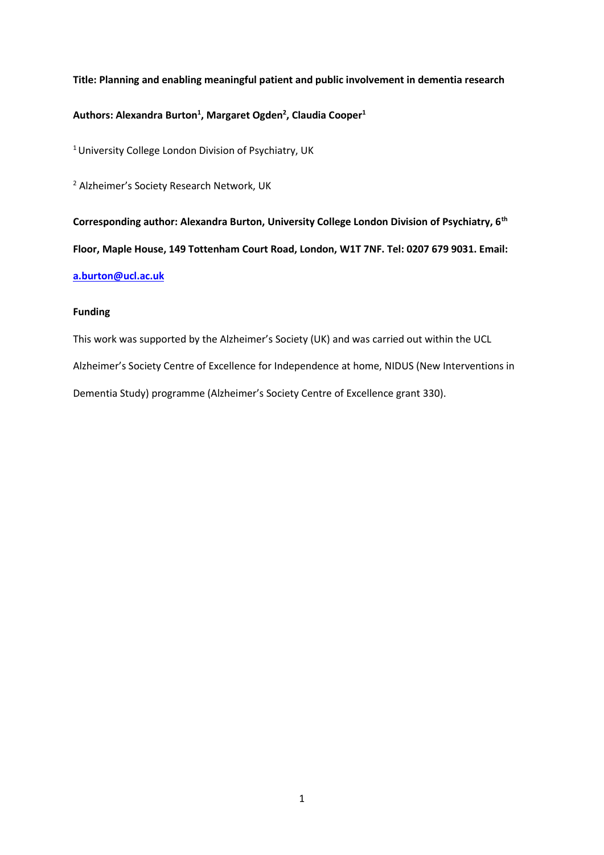**Title: Planning and enabling meaningful patient and public involvement in dementia research**

## **Authors: Alexandra Burton<sup>1</sup> , Margaret Ogden<sup>2</sup> , Claudia Cooper<sup>1</sup>**

<sup>1</sup> University College London Division of Psychiatry, UK

<sup>2</sup> Alzheimer's Society Research Network, UK

**Corresponding author: Alexandra Burton, University College London Division of Psychiatry, 6th Floor, Maple House, 149 Tottenham Court Road, London, W1T 7NF. Tel: 0207 679 9031. Email: [a.burton@ucl.ac.uk](mailto:a.burton@ucl.ac.uk)**

### **Funding**

This work was supported by the Alzheimer's Society (UK) and was carried out within the UCL Alzheimer's Society Centre of Excellence for Independence at home, NIDUS (New Interventions in Dementia Study) programme (Alzheimer's Society Centre of Excellence grant 330).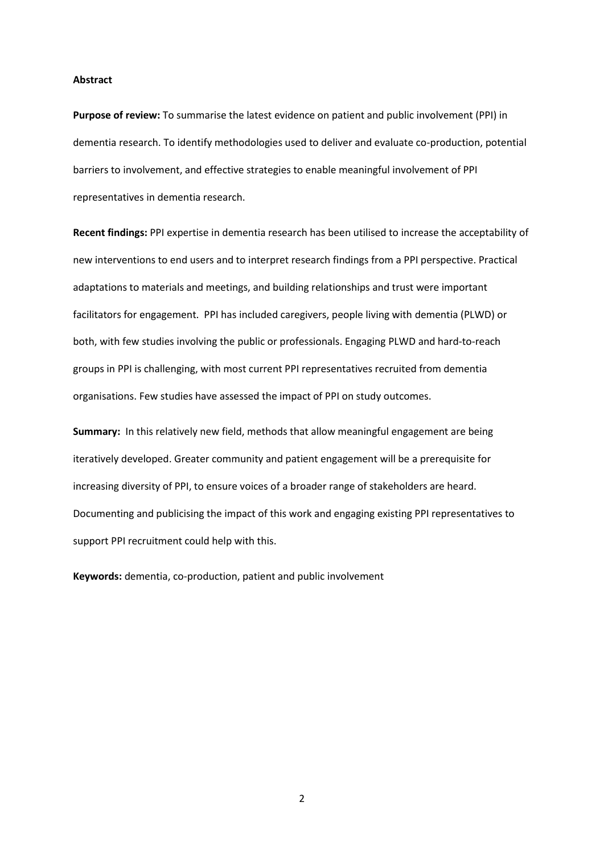#### **Abstract**

**Purpose of review:** To summarise the latest evidence on patient and public involvement (PPI) in dementia research. To identify methodologies used to deliver and evaluate co-production, potential barriers to involvement, and effective strategies to enable meaningful involvement of PPI representatives in dementia research.

**Recent findings:** PPI expertise in dementia research has been utilised to increase the acceptability of new interventions to end users and to interpret research findings from a PPI perspective. Practical adaptations to materials and meetings, and building relationships and trust were important facilitators for engagement. PPI has included caregivers, people living with dementia (PLWD) or both, with few studies involving the public or professionals. Engaging PLWD and hard-to-reach groups in PPI is challenging, with most current PPI representatives recruited from dementia organisations. Few studies have assessed the impact of PPI on study outcomes.

**Summary:** In this relatively new field, methods that allow meaningful engagement are being iteratively developed. Greater community and patient engagement will be a prerequisite for increasing diversity of PPI, to ensure voices of a broader range of stakeholders are heard. Documenting and publicising the impact of this work and engaging existing PPI representatives to support PPI recruitment could help with this.

**Keywords:** dementia, co-production, patient and public involvement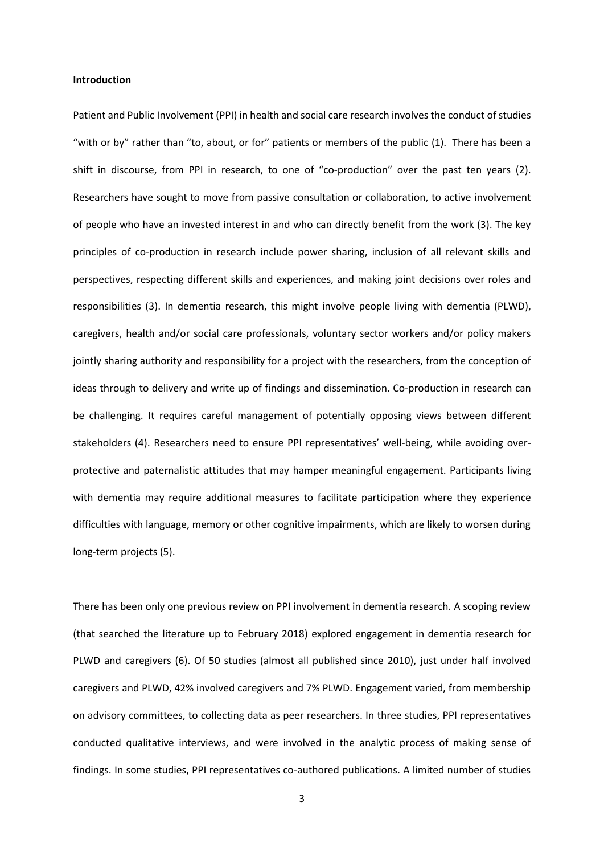#### **Introduction**

Patient and Public Involvement (PPI) in health and social care research involves the conduct of studies "with or by" rather than "to, about, or for" patients or members of the public (1). There has been a shift in discourse, from PPI in research, to one of "co-production" over the past ten years (2). Researchers have sought to move from passive consultation or collaboration, to active involvement of people who have an invested interest in and who can directly benefit from the work (3). The key principles of co-production in research include power sharing, inclusion of all relevant skills and perspectives, respecting different skills and experiences, and making joint decisions over roles and responsibilities (3). In dementia research, this might involve people living with dementia (PLWD), caregivers, health and/or social care professionals, voluntary sector workers and/or policy makers jointly sharing authority and responsibility for a project with the researchers, from the conception of ideas through to delivery and write up of findings and dissemination. Co-production in research can be challenging. It requires careful management of potentially opposing views between different stakeholders (4). Researchers need to ensure PPI representatives' well-being, while avoiding overprotective and paternalistic attitudes that may hamper meaningful engagement. Participants living with dementia may require additional measures to facilitate participation where they experience difficulties with language, memory or other cognitive impairments, which are likely to worsen during long-term projects (5).

There has been only one previous review on PPI involvement in dementia research. A scoping review (that searched the literature up to February 2018) explored engagement in dementia research for PLWD and caregivers (6). Of 50 studies (almost all published since 2010), just under half involved caregivers and PLWD, 42% involved caregivers and 7% PLWD. Engagement varied, from membership on advisory committees, to collecting data as peer researchers. In three studies, PPI representatives conducted qualitative interviews, and were involved in the analytic process of making sense of findings. In some studies, PPI representatives co-authored publications. A limited number of studies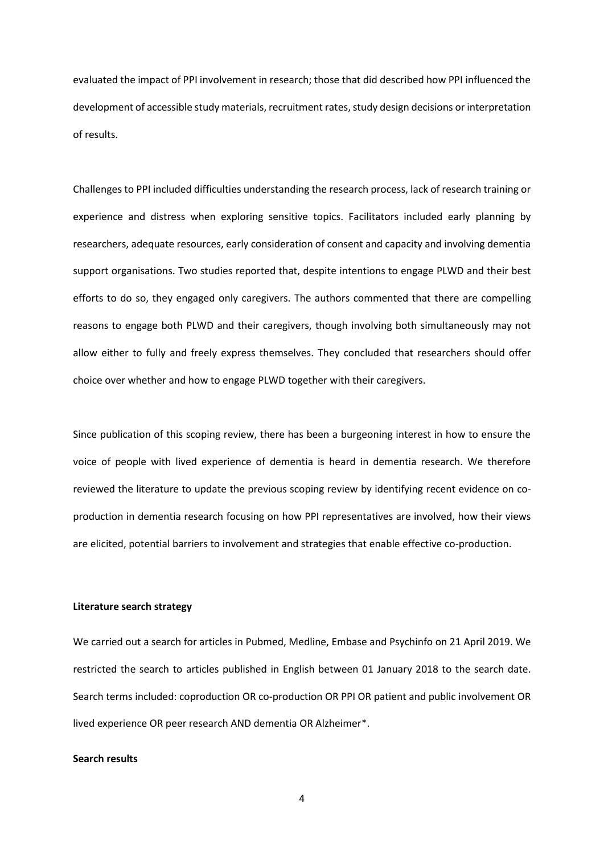evaluated the impact of PPI involvement in research; those that did described how PPI influenced the development of accessible study materials, recruitment rates, study design decisions or interpretation of results.

Challenges to PPI included difficulties understanding the research process, lack of research training or experience and distress when exploring sensitive topics. Facilitators included early planning by researchers, adequate resources, early consideration of consent and capacity and involving dementia support organisations. Two studies reported that, despite intentions to engage PLWD and their best efforts to do so, they engaged only caregivers. The authors commented that there are compelling reasons to engage both PLWD and their caregivers, though involving both simultaneously may not allow either to fully and freely express themselves. They concluded that researchers should offer choice over whether and how to engage PLWD together with their caregivers.

Since publication of this scoping review, there has been a burgeoning interest in how to ensure the voice of people with lived experience of dementia is heard in dementia research. We therefore reviewed the literature to update the previous scoping review by identifying recent evidence on coproduction in dementia research focusing on how PPI representatives are involved, how their views are elicited, potential barriers to involvement and strategies that enable effective co-production.

#### **Literature search strategy**

We carried out a search for articles in Pubmed, Medline, Embase and Psychinfo on 21 April 2019. We restricted the search to articles published in English between 01 January 2018 to the search date. Search terms included: coproduction OR co-production OR PPI OR patient and public involvement OR lived experience OR peer research AND dementia OR Alzheimer\*.

#### **Search results**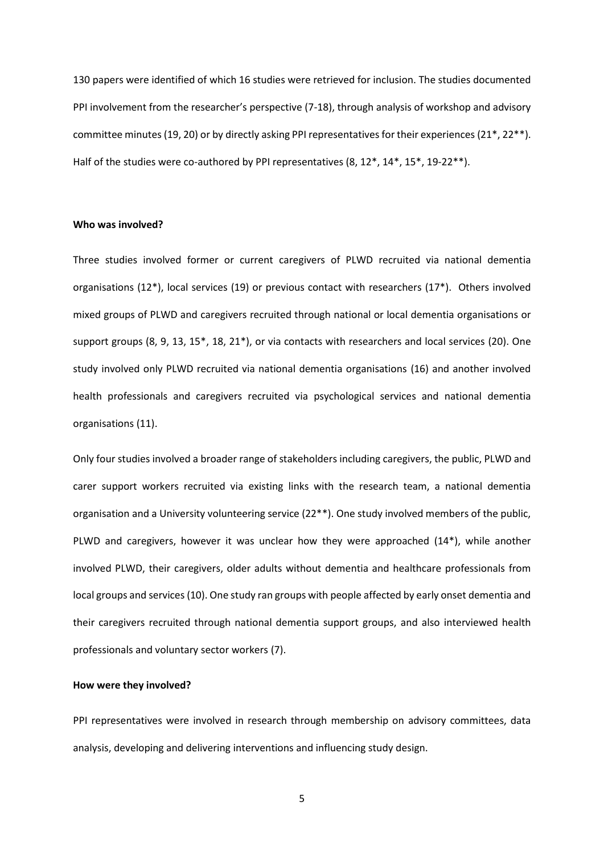130 papers were identified of which 16 studies were retrieved for inclusion. The studies documented PPI involvement from the researcher's perspective (7-18), through analysis of workshop and advisory committee minutes (19, 20) or by directly asking PPI representatives for their experiences (21\*, 22\*\*). Half of the studies were co-authored by PPI representatives (8, 12\*, 14\*, 15\*, 19-22\*\*).

#### **Who was involved?**

Three studies involved former or current caregivers of PLWD recruited via national dementia organisations (12\*), local services (19) or previous contact with researchers (17\*). Others involved mixed groups of PLWD and caregivers recruited through national or local dementia organisations or support groups (8, 9, 13, 15\*, 18, 21\*), or via contacts with researchers and local services (20). One study involved only PLWD recruited via national dementia organisations (16) and another involved health professionals and caregivers recruited via psychological services and national dementia organisations (11).

Only four studies involved a broader range of stakeholders including caregivers, the public, PLWD and carer support workers recruited via existing links with the research team, a national dementia organisation and a University volunteering service (22\*\*). One study involved members of the public, PLWD and caregivers, however it was unclear how they were approached (14\*), while another involved PLWD, their caregivers, older adults without dementia and healthcare professionals from local groups and services (10). One study ran groups with people affected by early onset dementia and their caregivers recruited through national dementia support groups, and also interviewed health professionals and voluntary sector workers (7).

#### **How were they involved?**

PPI representatives were involved in research through membership on advisory committees, data analysis, developing and delivering interventions and influencing study design.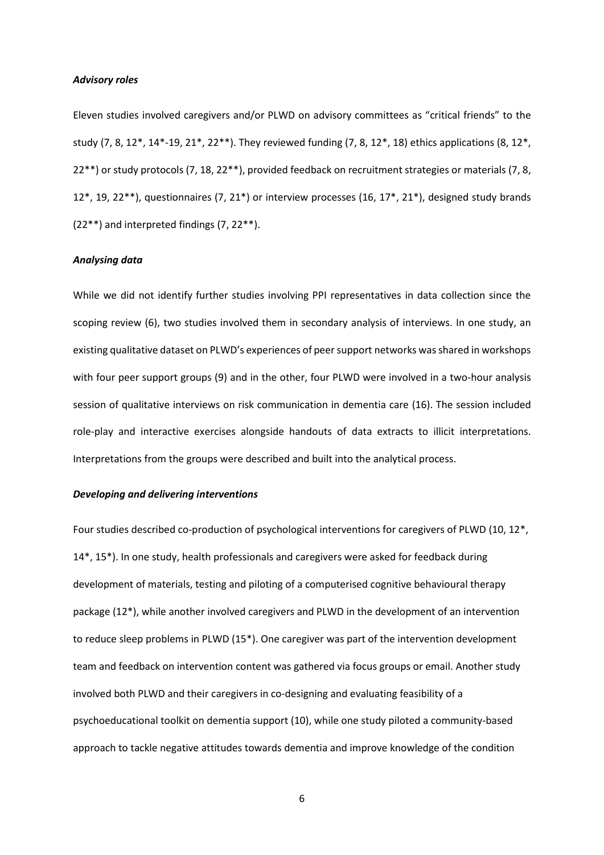#### *Advisory roles*

Eleven studies involved caregivers and/or PLWD on advisory committees as "critical friends" to the study (7, 8, 12\*, 14\*-19, 21\*, 22\*\*). They reviewed funding (7, 8, 12\*, 18) ethics applications (8, 12\*, 22\*\*) or study protocols (7, 18, 22\*\*), provided feedback on recruitment strategies or materials (7, 8, 12\*, 19, 22\*\*), questionnaires (7, 21\*) or interview processes (16, 17\*, 21\*), designed study brands (22\*\*) and interpreted findings (7, 22\*\*).

#### *Analysing data*

While we did not identify further studies involving PPI representatives in data collection since the scoping review (6), two studies involved them in secondary analysis of interviews. In one study, an existing qualitative dataset on PLWD's experiences of peer support networks was shared in workshops with four peer support groups (9) and in the other, four PLWD were involved in a two-hour analysis session of qualitative interviews on risk communication in dementia care (16). The session included role-play and interactive exercises alongside handouts of data extracts to illicit interpretations. Interpretations from the groups were described and built into the analytical process.

#### *Developing and delivering interventions*

Four studies described co-production of psychological interventions for caregivers of PLWD (10, 12\*, 14\*, 15\*). In one study, health professionals and caregivers were asked for feedback during development of materials, testing and piloting of a computerised cognitive behavioural therapy package (12\*), while another involved caregivers and PLWD in the development of an intervention to reduce sleep problems in PLWD (15\*). One caregiver was part of the intervention development team and feedback on intervention content was gathered via focus groups or email. Another study involved both PLWD and their caregivers in co-designing and evaluating feasibility of a psychoeducational toolkit on dementia support (10), while one study piloted a community-based approach to tackle negative attitudes towards dementia and improve knowledge of the condition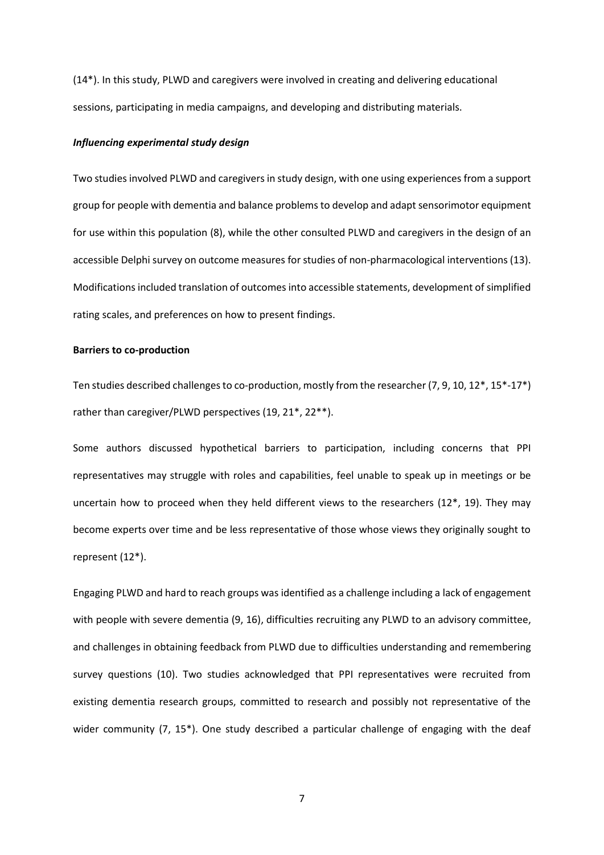(14\*). In this study, PLWD and caregivers were involved in creating and delivering educational sessions, participating in media campaigns, and developing and distributing materials.

#### *Influencing experimental study design*

Two studies involved PLWD and caregivers in study design, with one using experiences from a support group for people with dementia and balance problems to develop and adapt sensorimotor equipment for use within this population (8), while the other consulted PLWD and caregivers in the design of an accessible Delphi survey on outcome measures for studies of non-pharmacological interventions (13). Modifications included translation of outcomes into accessible statements, development of simplified rating scales, and preferences on how to present findings.

#### **Barriers to co-production**

Ten studies described challenges to co-production, mostly from the researcher (7, 9, 10, 12\*, 15\*-17\*) rather than caregiver/PLWD perspectives (19, 21\*, 22\*\*).

Some authors discussed hypothetical barriers to participation, including concerns that PPI representatives may struggle with roles and capabilities, feel unable to speak up in meetings or be uncertain how to proceed when they held different views to the researchers  $(12^*, 19)$ . They may become experts over time and be less representative of those whose views they originally sought to represent (12\*).

Engaging PLWD and hard to reach groups was identified as a challenge including a lack of engagement with people with severe dementia (9, 16), difficulties recruiting any PLWD to an advisory committee, and challenges in obtaining feedback from PLWD due to difficulties understanding and remembering survey questions (10). Two studies acknowledged that PPI representatives were recruited from existing dementia research groups, committed to research and possibly not representative of the wider community (7, 15<sup>\*</sup>). One study described a particular challenge of engaging with the deaf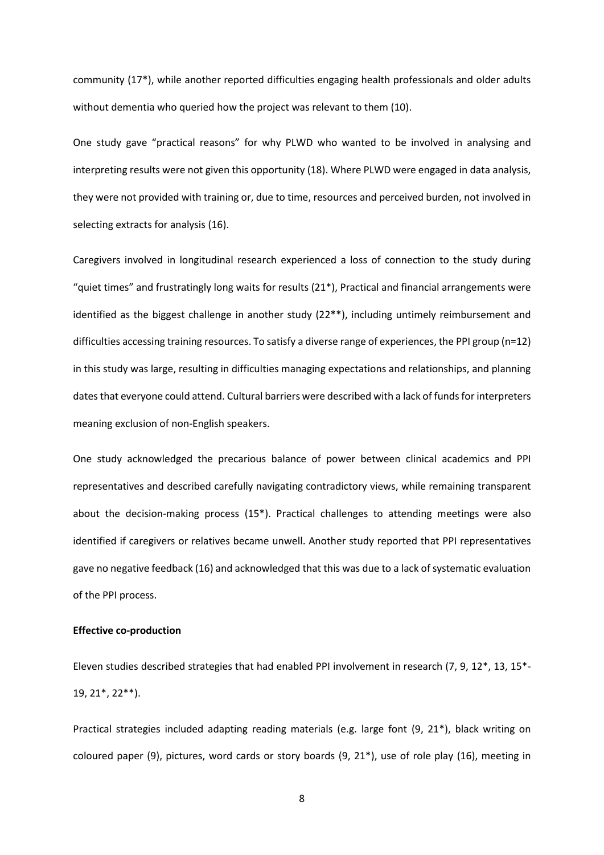community (17\*), while another reported difficulties engaging health professionals and older adults without dementia who queried how the project was relevant to them (10).

One study gave "practical reasons" for why PLWD who wanted to be involved in analysing and interpreting results were not given this opportunity (18). Where PLWD were engaged in data analysis, they were not provided with training or, due to time, resources and perceived burden, not involved in selecting extracts for analysis (16).

Caregivers involved in longitudinal research experienced a loss of connection to the study during "quiet times" and frustratingly long waits for results (21\*), Practical and financial arrangements were identified as the biggest challenge in another study (22\*\*), including untimely reimbursement and difficulties accessing training resources. To satisfy a diverse range of experiences, the PPI group (n=12) in this study was large, resulting in difficulties managing expectations and relationships, and planning dates that everyone could attend. Cultural barriers were described with a lack of funds for interpreters meaning exclusion of non-English speakers.

One study acknowledged the precarious balance of power between clinical academics and PPI representatives and described carefully navigating contradictory views, while remaining transparent about the decision-making process (15\*). Practical challenges to attending meetings were also identified if caregivers or relatives became unwell. Another study reported that PPI representatives gave no negative feedback (16) and acknowledged that this was due to a lack of systematic evaluation of the PPI process.

### **Effective co-production**

Eleven studies described strategies that had enabled PPI involvement in research (7, 9, 12\*, 13, 15\*- 19, 21\*, 22\*\*).

Practical strategies included adapting reading materials (e.g. large font (9, 21\*), black writing on coloured paper (9), pictures, word cards or story boards (9, 21\*), use of role play (16), meeting in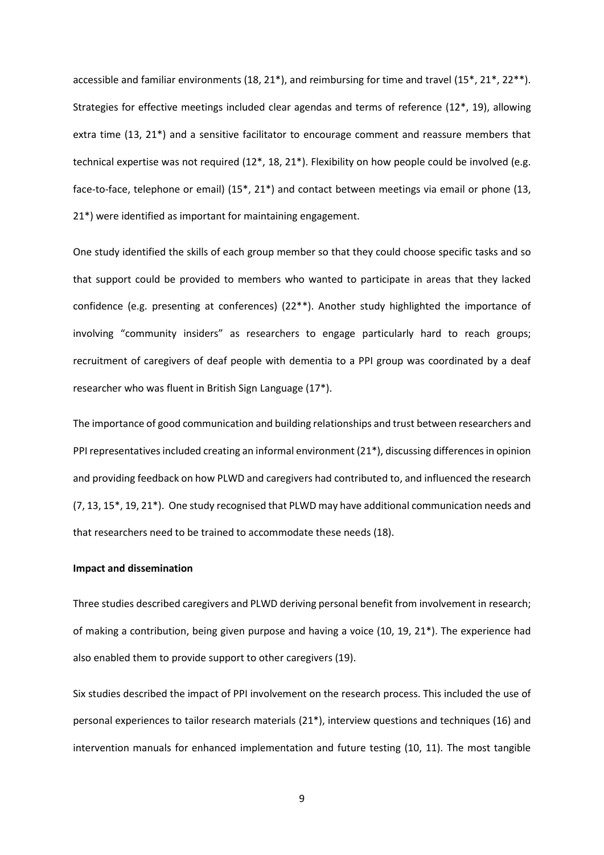accessible and familiar environments (18, 21\*), and reimbursing for time and travel (15\*, 21\*, 22\*\*). Strategies for effective meetings included clear agendas and terms of reference (12\*, 19), allowing extra time (13, 21\*) and a sensitive facilitator to encourage comment and reassure members that technical expertise was not required (12\*, 18, 21\*). Flexibility on how people could be involved (e.g. face-to-face, telephone or email) (15\*, 21\*) and contact between meetings via email or phone (13, 21\*) were identified as important for maintaining engagement.

One study identified the skills of each group member so that they could choose specific tasks and so that support could be provided to members who wanted to participate in areas that they lacked confidence (e.g. presenting at conferences) (22\*\*). Another study highlighted the importance of involving "community insiders" as researchers to engage particularly hard to reach groups; recruitment of caregivers of deaf people with dementia to a PPI group was coordinated by a deaf researcher who was fluent in British Sign Language (17\*).

The importance of good communication and building relationships and trust between researchers and PPI representatives included creating an informal environment (21\*), discussing differences in opinion and providing feedback on how PLWD and caregivers had contributed to, and influenced the research (7, 13, 15\*, 19, 21\*). One study recognised that PLWD may have additional communication needs and that researchers need to be trained to accommodate these needs (18).

#### **Impact and dissemination**

Three studies described caregivers and PLWD deriving personal benefit from involvement in research; of making a contribution, being given purpose and having a voice (10, 19, 21\*). The experience had also enabled them to provide support to other caregivers (19).

Six studies described the impact of PPI involvement on the research process. This included the use of personal experiences to tailor research materials (21\*), interview questions and techniques (16) and intervention manuals for enhanced implementation and future testing (10, 11). The most tangible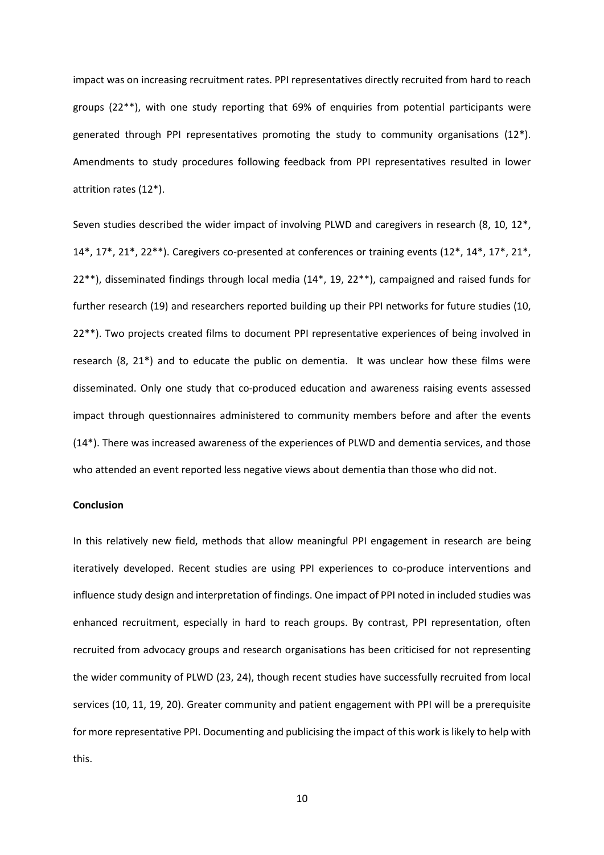impact was on increasing recruitment rates. PPI representatives directly recruited from hard to reach groups (22\*\*), with one study reporting that 69% of enquiries from potential participants were generated through PPI representatives promoting the study to community organisations (12\*). Amendments to study procedures following feedback from PPI representatives resulted in lower attrition rates (12\*).

Seven studies described the wider impact of involving PLWD and caregivers in research (8, 10, 12\*, 14\*, 17\*, 21\*, 22\*\*). Caregivers co-presented at conferences or training events (12\*, 14\*, 17\*, 21\*, 22\*\*), disseminated findings through local media (14\*, 19, 22\*\*), campaigned and raised funds for further research (19) and researchers reported building up their PPI networks for future studies (10, 22\*\*). Two projects created films to document PPI representative experiences of being involved in research (8, 21\*) and to educate the public on dementia. It was unclear how these films were disseminated. Only one study that co-produced education and awareness raising events assessed impact through questionnaires administered to community members before and after the events (14\*). There was increased awareness of the experiences of PLWD and dementia services, and those who attended an event reported less negative views about dementia than those who did not.

## **Conclusion**

In this relatively new field, methods that allow meaningful PPI engagement in research are being iteratively developed. Recent studies are using PPI experiences to co-produce interventions and influence study design and interpretation of findings. One impact of PPI noted in included studies was enhanced recruitment, especially in hard to reach groups. By contrast, PPI representation, often recruited from advocacy groups and research organisations has been criticised for not representing the wider community of PLWD (23, 24), though recent studies have successfully recruited from local services (10, 11, 19, 20). Greater community and patient engagement with PPI will be a prerequisite for more representative PPI. Documenting and publicising the impact of this work is likely to help with this.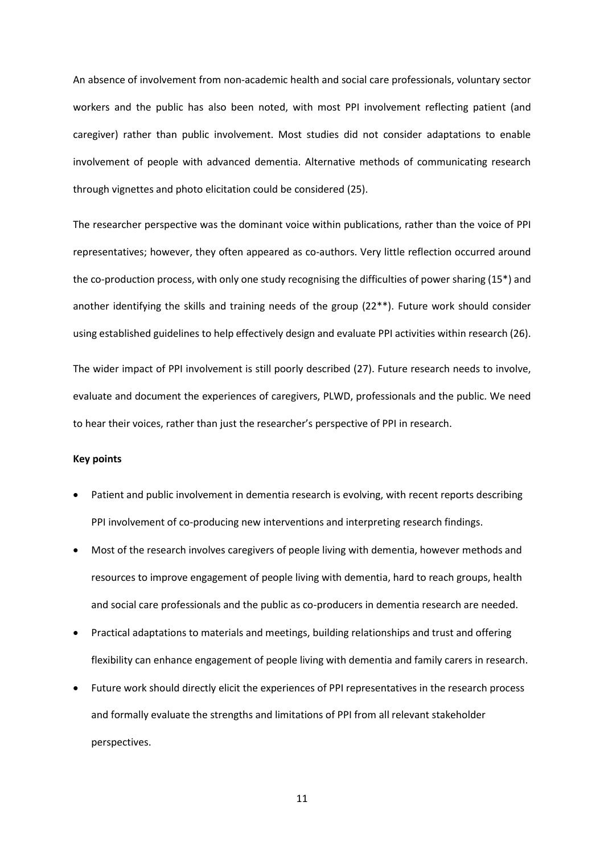An absence of involvement from non-academic health and social care professionals, voluntary sector workers and the public has also been noted, with most PPI involvement reflecting patient (and caregiver) rather than public involvement. Most studies did not consider adaptations to enable involvement of people with advanced dementia. Alternative methods of communicating research through vignettes and photo elicitation could be considered (25).

The researcher perspective was the dominant voice within publications, rather than the voice of PPI representatives; however, they often appeared as co-authors. Very little reflection occurred around the co-production process, with only one study recognising the difficulties of power sharing (15\*) and another identifying the skills and training needs of the group (22\*\*). Future work should consider using established guidelines to help effectively design and evaluate PPI activities within research (26). The wider impact of PPI involvement is still poorly described (27). Future research needs to involve,

evaluate and document the experiences of caregivers, PLWD, professionals and the public. We need to hear their voices, rather than just the researcher's perspective of PPI in research.

#### **Key points**

- Patient and public involvement in dementia research is evolving, with recent reports describing PPI involvement of co-producing new interventions and interpreting research findings.
- Most of the research involves caregivers of people living with dementia, however methods and resources to improve engagement of people living with dementia, hard to reach groups, health and social care professionals and the public as co-producers in dementia research are needed.
- Practical adaptations to materials and meetings, building relationships and trust and offering flexibility can enhance engagement of people living with dementia and family carers in research.
- Future work should directly elicit the experiences of PPI representatives in the research process and formally evaluate the strengths and limitations of PPI from all relevant stakeholder perspectives.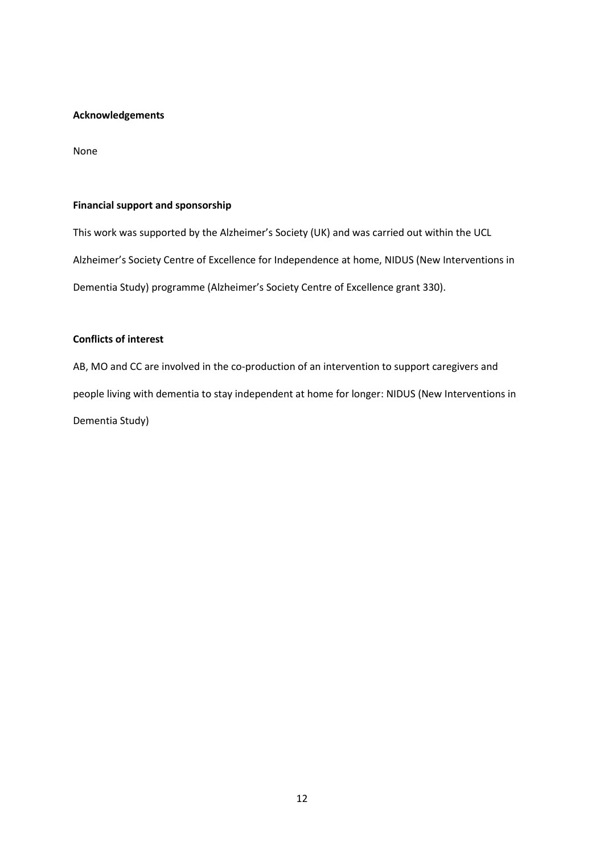## **Acknowledgements**

None

## **Financial support and sponsorship**

This work was supported by the Alzheimer's Society (UK) and was carried out within the UCL Alzheimer's Society Centre of Excellence for Independence at home, NIDUS (New Interventions in Dementia Study) programme (Alzheimer's Society Centre of Excellence grant 330).

## **Conflicts of interest**

AB, MO and CC are involved in the co-production of an intervention to support caregivers and people living with dementia to stay independent at home for longer: NIDUS (New Interventions in Dementia Study)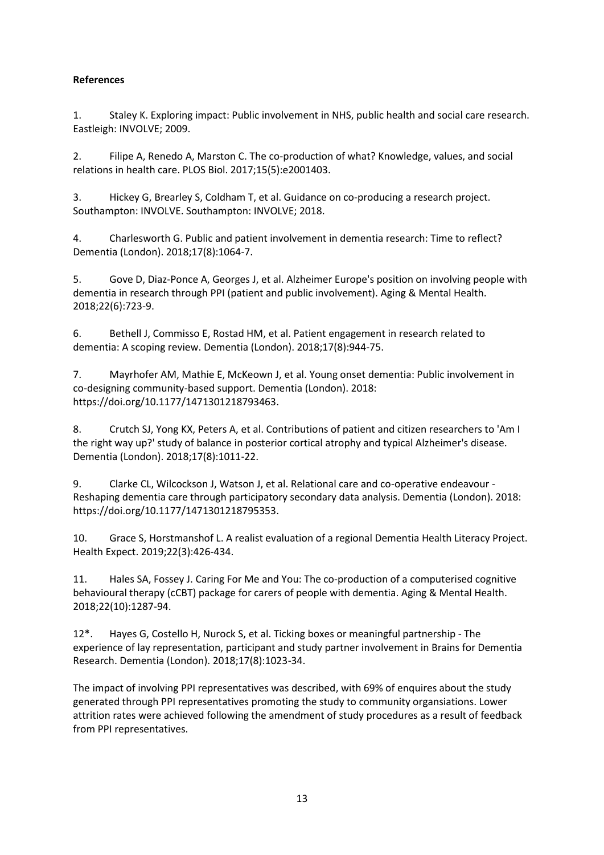# **References**

1. Staley K. Exploring impact: Public involvement in NHS, public health and social care research. Eastleigh: INVOLVE; 2009.

2. Filipe A, Renedo A, Marston C. The co-production of what? Knowledge, values, and social relations in health care. PLOS Biol. 2017;15(5):e2001403.

3. Hickey G, Brearley S, Coldham T, et al. Guidance on co-producing a research project. Southampton: INVOLVE. Southampton: INVOLVE; 2018.

4. Charlesworth G. Public and patient involvement in dementia research: Time to reflect? Dementia (London). 2018;17(8):1064-7.

5. Gove D, Diaz-Ponce A, Georges J, et al. Alzheimer Europe's position on involving people with dementia in research through PPI (patient and public involvement). Aging & Mental Health. 2018;22(6):723-9.

6. Bethell J, Commisso E, Rostad HM, et al. Patient engagement in research related to dementia: A scoping review. Dementia (London). 2018;17(8):944-75.

7. Mayrhofer AM, Mathie E, McKeown J, et al. Young onset dementia: Public involvement in co-designing community-based support. Dementia (London). 2018: https://doi.org/10.1177/1471301218793463.

8. Crutch SJ, Yong KX, Peters A, et al. Contributions of patient and citizen researchers to 'Am I the right way up?' study of balance in posterior cortical atrophy and typical Alzheimer's disease. Dementia (London). 2018;17(8):1011-22.

9. Clarke CL, Wilcockson J, Watson J, et al. Relational care and co-operative endeavour - Reshaping dementia care through participatory secondary data analysis. Dementia (London). 2018: https://doi.org/10.1177/1471301218795353.

10. Grace S, Horstmanshof L. A realist evaluation of a regional Dementia Health Literacy Project. Health Expect. 2019;22(3):426-434.

11. Hales SA, Fossey J. Caring For Me and You: The co-production of a computerised cognitive behavioural therapy (cCBT) package for carers of people with dementia. Aging & Mental Health. 2018;22(10):1287-94.

12\*. Hayes G, Costello H, Nurock S, et al. Ticking boxes or meaningful partnership - The experience of lay representation, participant and study partner involvement in Brains for Dementia Research. Dementia (London). 2018;17(8):1023-34.

The impact of involving PPI representatives was described, with 69% of enquires about the study generated through PPI representatives promoting the study to community organsiations. Lower attrition rates were achieved following the amendment of study procedures as a result of feedback from PPI representatives.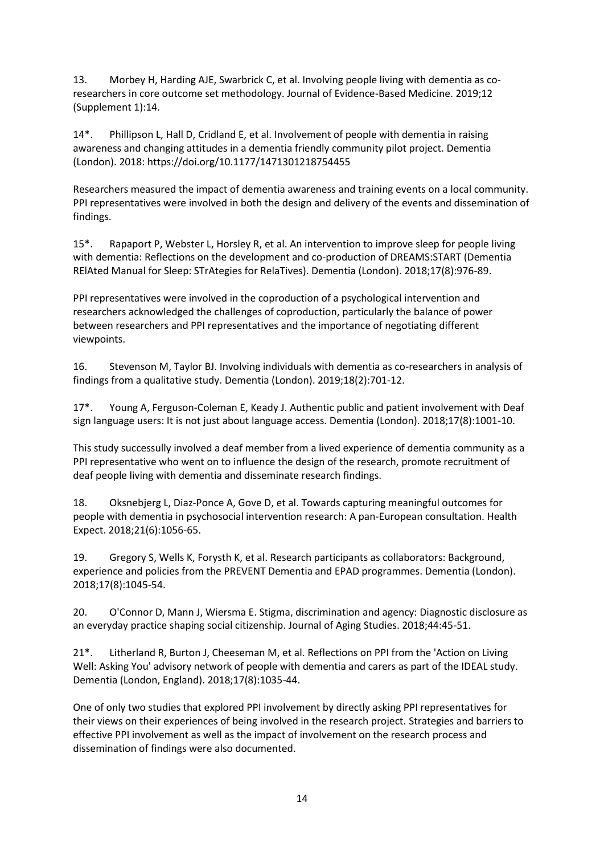13. Morbey H, Harding AJE, Swarbrick C, et al. Involving people living with dementia as coresearchers in core outcome set methodology. Journal of Evidence-Based Medicine. 2019;12 (Supplement 1):14.

14\*. Phillipson L, Hall D, Cridland E, et al. Involvement of people with dementia in raising awareness and changing attitudes in a dementia friendly community pilot project. Dementia (London). 2018: <https://doi.org/10.1177/1471301218754455>

Researchers measured the impact of dementia awareness and training events on a local community. PPI representatives were involved in both the design and delivery of the events and dissemination of findings.

15\*. Rapaport P, Webster L, Horsley R, et al. An intervention to improve sleep for people living with dementia: Reflections on the development and co-production of DREAMS:START (Dementia RElAted Manual for Sleep: STrAtegies for RelaTives). Dementia (London). 2018;17(8):976-89.

PPI representatives were involved in the coproduction of a psychological intervention and researchers acknowledged the challenges of coproduction, particularly the balance of power between researchers and PPI representatives and the importance of negotiating different viewpoints.

16. Stevenson M, Taylor BJ. Involving individuals with dementia as co-researchers in analysis of findings from a qualitative study. Dementia (London). 2019;18(2):701-12.

17\*. Young A, Ferguson-Coleman E, Keady J. Authentic public and patient involvement with Deaf sign language users: It is not just about language access. Dementia (London). 2018;17(8):1001-10.

This study successully involved a deaf member from a lived experience of dementia community as a PPI representative who went on to influence the design of the research, promote recruitment of deaf people living with dementia and disseminate research findings.

18. Oksnebjerg L, Diaz-Ponce A, Gove D, et al. Towards capturing meaningful outcomes for people with dementia in psychosocial intervention research: A pan-European consultation. Health Expect. 2018;21(6):1056-65.

19. Gregory S, Wells K, Forysth K, et al. Research participants as collaborators: Background, experience and policies from the PREVENT Dementia and EPAD programmes. Dementia (London). 2018;17(8):1045-54.

20. O'Connor D, Mann J, Wiersma E. Stigma, discrimination and agency: Diagnostic disclosure as an everyday practice shaping social citizenship. Journal of Aging Studies. 2018;44:45-51.

21\*. Litherland R, Burton J, Cheeseman M, et al. Reflections on PPI from the 'Action on Living Well: Asking You' advisory network of people with dementia and carers as part of the IDEAL study. Dementia (London, England). 2018;17(8):1035-44.

One of only two studies that explored PPI involvement by directly asking PPI representatives for their views on their experiences of being involved in the research project. Strategies and barriers to effective PPI involvement as well as the impact of involvement on the research process and dissemination of findings were also documented.